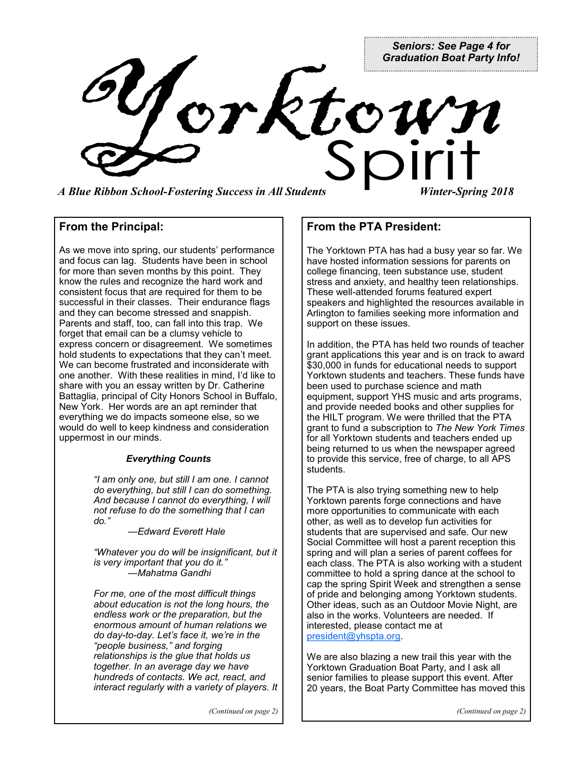*Seniors: See Page 4 for Graduation Boat Party Info!*

Vorktoi *A Blue Ribbon School-Fostering Success in All Students Winter-Spring 2018*

## **From the Principal:**

As we move into spring, our students' performance and focus can lag. Students have been in school for more than seven months by this point. They know the rules and recognize the hard work and consistent focus that are required for them to be successful in their classes. Their endurance flags and they can become stressed and snappish. Parents and staff, too, can fall into this trap. We forget that email can be a clumsy vehicle to express concern or disagreement. We sometimes hold students to expectations that they can't meet. We can become frustrated and inconsiderate with one another. With these realities in mind, I'd like to share with you an essay written by Dr. Catherine Battaglia, principal of City Honors School in Buffalo, New York. Her words are an apt reminder that everything we do impacts someone else, so we would do well to keep kindness and consideration uppermost in our minds.

#### *Everything Counts*

*"I am only one, but still I am one. I cannot do everything, but still I can do something. And because I cannot do everything, I will not refuse to do the something that I can do."*

*—Edward Everett Hale*

*"Whatever you do will be insignificant, but it is very important that you do it." —Mahatma Gandhi*

*For me, one of the most difficult things about education is not the long hours, the endless work or the preparation, but the enormous amount of human relations we do day-to-day. Let's face it, we're in the "people business," and forging relationships is the glue that holds us together. In an average day we have hundreds of contacts. We act, react, and interact regularly with a variety of players. It*  **From the PTA President:**

The Yorktown PTA has had a busy year so far. We have hosted information sessions for parents on college financing, teen substance use, student stress and anxiety, and healthy teen relationships. These well-attended forums featured expert speakers and highlighted the resources available in Arlington to families seeking more information and support on these issues.

In addition, the PTA has held two rounds of teacher grant applications this year and is on track to award \$30,000 in funds for educational needs to support Yorktown students and teachers. These funds have been used to purchase science and math equipment, support YHS music and arts programs, and provide needed books and other supplies for the HILT program. We were thrilled that the PTA grant to fund a subscription to *The New York Times* for all Yorktown students and teachers ended up being returned to us when the newspaper agreed to provide this service, free of charge, to all APS students.

The PTA is also trying something new to help Yorktown parents forge connections and have more opportunities to communicate with each other, as well as to develop fun activities for students that are supervised and safe. Our new Social Committee will host a parent reception this spring and will plan a series of parent coffees for each class. The PTA is also working with a student committee to hold a spring dance at the school to cap the spring Spirit Week and strengthen a sense of pride and belonging among Yorktown students. Other ideas, such as an Outdoor Movie Night, are also in the works. Volunteers are needed. If interested, please contact me at [president@yhspta.org.](mailto:president@yhspta.org)

We are also blazing a new trail this year with the Yorktown Graduation Boat Party, and I ask all senior families to please support this event. After 20 years, the Boat Party Committee has moved this

*(Continued on page 2)*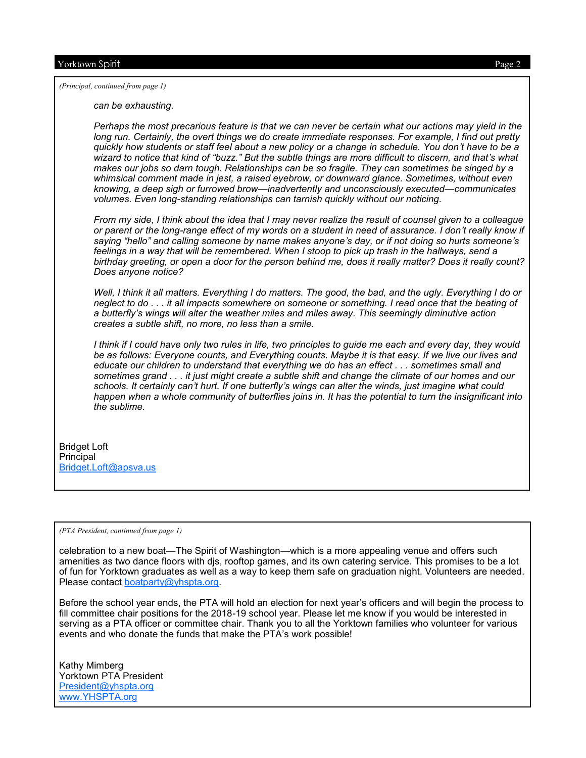*(Principal, continued from page 1)*

*can be exhausting.*

*Perhaps the most precarious feature is that we can never be certain what our actions may yield in the*  long run. Certainly, the overt things we do create immediate responses. For example, I find out pretty *quickly how students or staff feel about a new policy or a change in schedule. You don't have to be a wizard to notice that kind of "buzz." But the subtle things are more difficult to discern, and that's what makes our jobs so darn tough. Relationships can be so fragile. They can sometimes be singed by a whimsical comment made in jest, a raised eyebrow, or downward glance. Sometimes, without even knowing, a deep sigh or furrowed brow—inadvertently and unconsciously executed—communicates volumes. Even long-standing relationships can tarnish quickly without our noticing.*

*From my side, I think about the idea that I may never realize the result of counsel given to a colleague or parent or the long-range effect of my words on a student in need of assurance. I don't really know if saying "hello" and calling someone by name makes anyone's day, or if not doing so hurts someone's*  feelings in a way that will be remembered. When I stoop to pick up trash in the hallways, send a *birthday greeting, or open a door for the person behind me, does it really matter? Does it really count? Does anyone notice?*

*Well, I think it all matters. Everything I do matters. The good, the bad, and the ugly. Everything I do or neglect to do . . . it all impacts somewhere on someone or something. I read once that the beating of a butterfly's wings will alter the weather miles and miles away. This seemingly diminutive action creates a subtle shift, no more, no less than a smile.*

*I think if I could have only two rules in life, two principles to guide me each and every day, they would be as follows: Everyone counts, and Everything counts. Maybe it is that easy. If we live our lives and educate our children to understand that everything we do has an effect . . . sometimes small and sometimes grand . . . it just might create a subtle shift and change the climate of our homes and our schools. It certainly can't hurt. If one butterfly's wings can alter the winds, just imagine what could happen when a whole community of butterflies joins in. It has the potential to turn the insignificant into the sublime.*

Bridget Loft Principal [Bridget.Loft@apsva.us](mailto:bridget.loft@apsva.us)

*(PTA President, continued from page 1)*

celebration to a new boat—The Spirit of Washington—which is a more appealing venue and offers such amenities as two dance floors with djs, rooftop games, and its own catering service. This promises to be a lot of fun for Yorktown graduates as well as a way to keep them safe on graduation night. Volunteers are needed. Please contact [boatparty@yhspta.org.](mailto:boatparty@yhspta.org)

Before the school year ends, the PTA will hold an election for next year's officers and will begin the process to fill committee chair positions for the 2018-19 school year. Please let me know if you would be interested in serving as a PTA officer or committee chair. Thank you to all the Yorktown families who volunteer for various events and who donate the funds that make the PTA's work possible!

Kathy Mimberg Yorktown PTA President [President@yhspta.org](mailto:President@yhspta.org) [www.YHSPTA.org](http://www.yhspta.org/)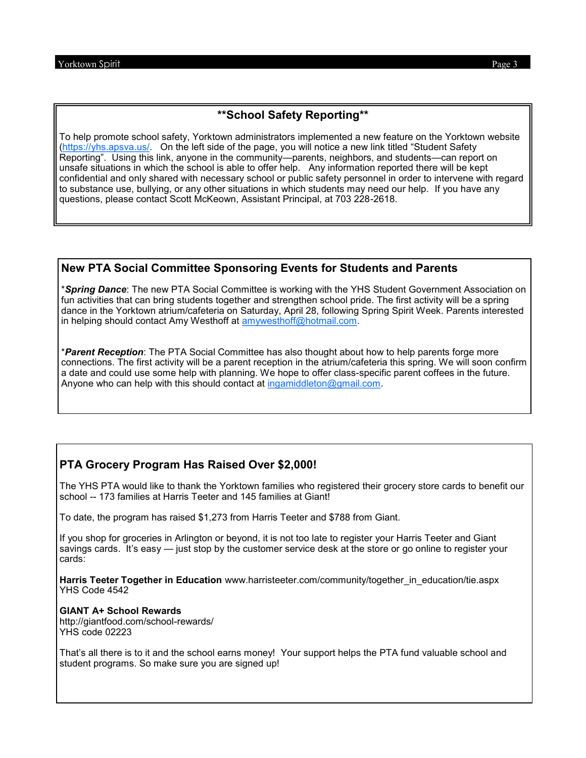## **\*\*School Safety Reporting\*\***

To help promote school safety, Yorktown administrators implemented a new feature on the Yorktown website [\(https://yhs.apsva.us/.](https://yhs.apsva.us/) On the left side of the page, you will notice a new link titled "Student Safety Reporting". Using this link, anyone in the community—parents, neighbors, and students—can report on unsafe situations in which the school is able to offer help. Any information reported there will be kept confidential and only shared with necessary school or public safety personnel in order to intervene with regard to substance use, bullying, or any other situations in which students may need our help. If you have any questions, please contact Scott McKeown, Assistant Principal, at 703 228-2618.

#### **New PTA Social Committee Sponsoring Events for Students and Parents**

\**Spring Dance*: The new PTA Social Committee is working with the YHS Student Government Association on fun activities that can bring students together and strengthen school pride. The first activity will be a spring dance in the Yorktown atrium/cafeteria on Saturday, April 28, following Spring Spirit Week. Parents interested in helping should contact Amy Westhoff at [amywesthoff@hotmail.com.](mailto:amywesthoff@hotmail.com)

\**Parent Reception*: The PTA Social Committee has also thought about how to help parents forge more connections. The first activity will be a parent reception in the atrium/cafeteria this spring. We will soon confirm a date and could use some help with planning. We hope to offer class-specific parent coffees in the future. Anyone who can help with this should contact at [ingamiddleton@gmail.com.](mailto:ingamiddleton@gmail.com)

# **PTA Grocery Program Has Raised Over \$2,000!**

The YHS PTA would like to thank the Yorktown families who registered their grocery store cards to benefit our school -- 173 families at Harris Teeter and 145 families at Giant!

To date, the program has raised \$1,273 from Harris Teeter and \$788 from Giant.

If you shop for groceries in Arlington or beyond, it is not too late to register your Harris Teeter and Giant savings cards. It's easy — just stop by the customer service desk at the store or go online to register your cards:

**Harris Teeter Together in Education** www.harristeeter.com/community/together\_in\_education/tie.aspx YHS Code 4542

#### **GIANT A+ School Rewards**

http://giantfood.com/school-rewards/ YHS code 02223

That's all there is to it and the school earns money! Your support helps the PTA fund valuable school and student programs. So make sure you are signed up!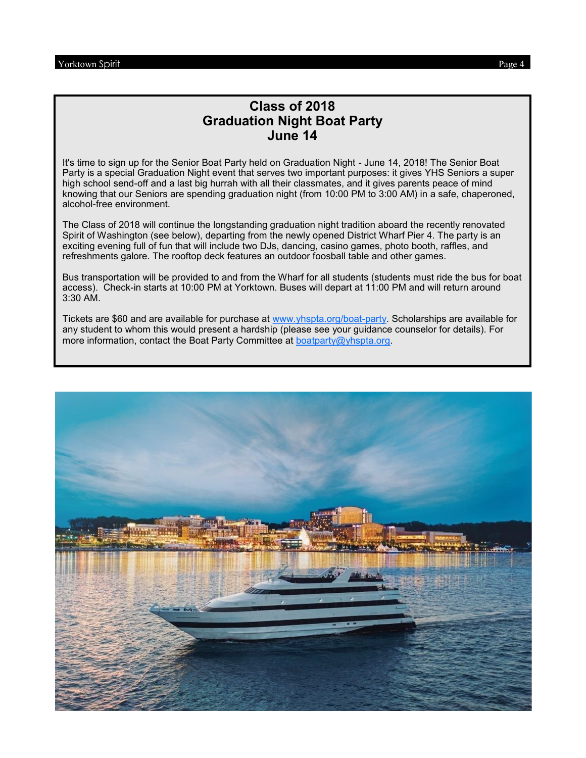# **Class of 2018 Graduation Night Boat Party June 14**

It's time to sign up for the Senior Boat Party held on Graduation Night - June 14, 2018! The Senior Boat Party is a special Graduation Night event that serves two important purposes: it gives YHS Seniors a super high school send-off and a last big hurrah with all their classmates, and it gives parents peace of mind knowing that our Seniors are spending graduation night (from 10:00 PM to 3:00 AM) in a safe, chaperoned, alcohol-free environment.

The Class of 2018 will continue the longstanding graduation night tradition aboard the recently renovated Spirit of Washington (see below), departing from the newly opened District Wharf Pier 4. The party is an exciting evening full of fun that will include two DJs, dancing, casino games, photo booth, raffles, and refreshments galore. The rooftop deck features an outdoor foosball table and other games.

Bus transportation will be provided to and from the Wharf for all students (students must ride the bus for boat access). Check-in starts at 10:00 PM at Yorktown. Buses will depart at 11:00 PM and will return around 3:30 AM.

Tickets are \$60 and are available for purchase at [www.yhspta.org/boat](http://www.yhspta.org/boat-party)-party. Scholarships are available for any student to whom this would present a hardship (please see your guidance counselor for details). For more information, contact the Boat Party Committee at [boatparty@yhspta.org](mailto:Boatparty@yhspta.org).

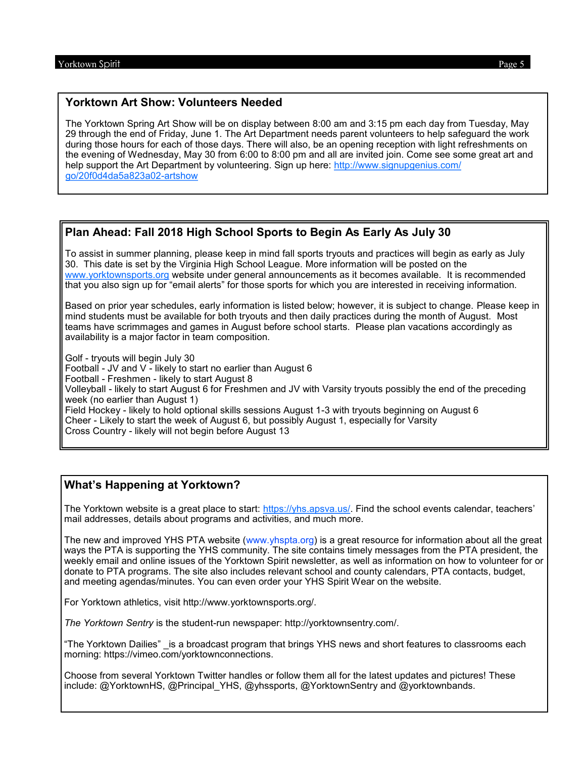#### **Yorktown Art Show: Volunteers Needed**

The Yorktown Spring Art Show will be on display between 8:00 am and 3:15 pm each day from Tuesday, May 29 through the end of Friday, June 1. The Art Department needs parent volunteers to help safeguard the work during those hours for each of those days. There will also, be an opening reception with light refreshments on the evening of Wednesday, May 30 from 6:00 to 8:00 pm and all are invited join. Come see some great art and help support the Art Department by volunteering. Sign up here: [http://www.signupgenius.com/](http://www.signupgenius.com/go/20f0d4da5a823a02-artshow) [go/20f0d4da5a823a02](http://www.signupgenius.com/go/20f0d4da5a823a02-artshow)-artshow

## **Plan Ahead: Fall 2018 High School Sports to Begin As Early As July 30**

To assist in summer planning, please keep in mind fall sports tryouts and practices will begin as early as July 30. This date is set by the Virginia High School League. More information will be posted on the [www.yorktownsports.org](http://www.yorktownsports.org) website under general announcements as it becomes available. It is recommended that you also sign up for "email alerts" for those sports for which you are interested in receiving information.

Based on prior year schedules, early information is listed below; however, it is subject to change. Please keep in mind students must be available for both tryouts and then daily practices during the month of August. Most teams have scrimmages and games in August before school starts. Please plan vacations accordingly as availability is a major factor in team composition.

Golf - tryouts will begin July 30 Football - JV and V - likely to start no earlier than August 6 Football - Freshmen - likely to start August 8 Volleyball - likely to start August 6 for Freshmen and JV with Varsity tryouts possibly the end of the preceding week (no earlier than August 1) Field Hockey - likely to hold optional skills sessions August 1-3 with tryouts beginning on August 6 Cheer - Likely to start the week of August 6, but possibly August 1, especially for Varsity Cross Country - likely will not begin before August 13

#### **What's Happening at Yorktown?**

The Yorktown website is a great place to start: [https://yhs.apsva.us/.](https://yhs.apsva.us/) Find the school events calendar, teachers' mail addresses, details about programs and activities, and much more.

The new and improved YHS PTA website (www.yhspta.org) is a great resource for information about all the great ways the PTA is supporting the YHS community. The site contains timely messages from the PTA president, the weekly email and online issues of the Yorktown Spirit newsletter, as well as information on how to volunteer for or donate to PTA programs. The site also includes relevant school and county calendars, PTA contacts, budget, and meeting agendas/minutes. You can even order your YHS Spirit Wear on the website.

For Yorktown athletics, visit http://www.yorktownsports.org/.

*The Yorktown Sentry* is the student-run newspaper: http://yorktownsentry.com/.

"The Yorktown Dailies" \_is a broadcast program that brings YHS news and short features to classrooms each morning: https://vimeo.com/yorktownconnections.

Choose from several Yorktown Twitter handles or follow them all for the latest updates and pictures! These include: @YorktownHS, @Principal\_YHS, @yhssports, @YorktownSentry and @yorktownbands.